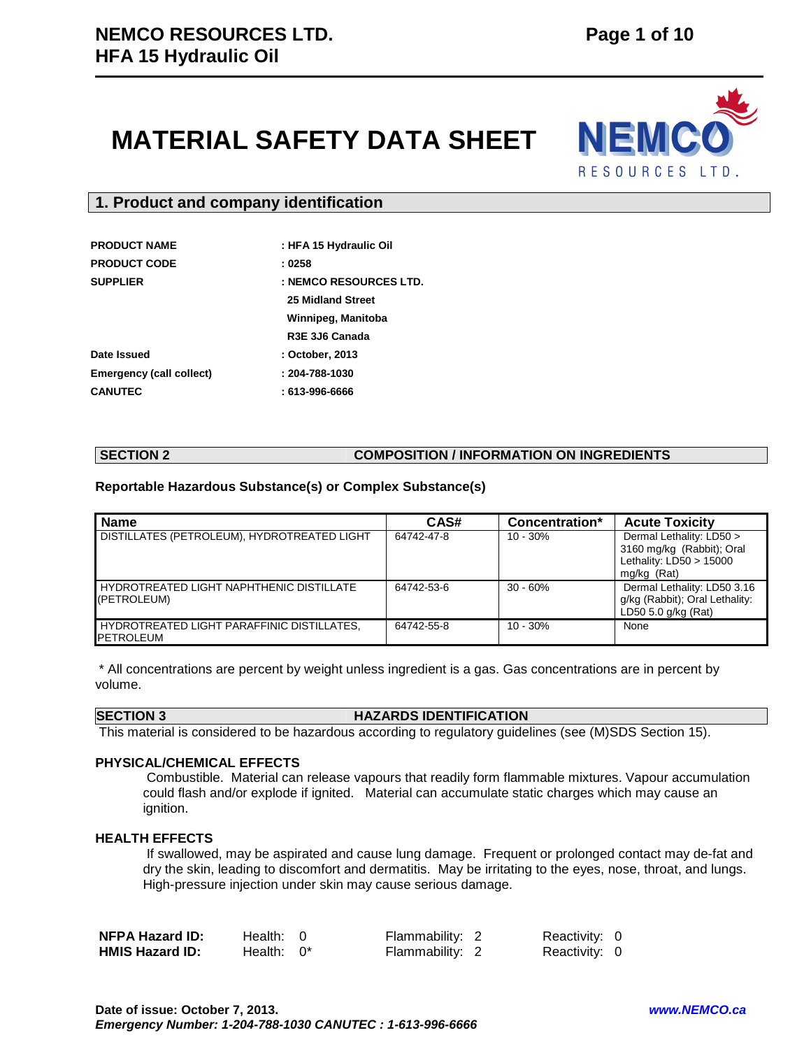# **MATERIAL SAFETY DATA SHEET**



### **1. Product and company identification**

| <b>PRODUCT NAME</b>             | : HFA 15 Hydraulic Oil |
|---------------------------------|------------------------|
| <b>PRODUCT CODE</b>             | : 0258                 |
| <b>SUPPLIER</b>                 | : NEMCO RESOURCES LTD. |
|                                 | 25 Midland Street      |
|                                 | Winnipeg, Manitoba     |
|                                 | R3E 3J6 Canada         |
| Date Issued                     | : October, 2013        |
| <b>Emergency (call collect)</b> | $: 204 - 788 - 1030$   |
| <b>CANUTEC</b>                  | : 613-996-6666         |

### **SECTION 2 COMPOSITION / INFORMATION ON INGREDIENTS**

### **Reportable Hazardous Substance(s) or Complex Substance(s)**

| <b>Name</b>                                                    | CAS#       | Concentration* | <b>Acute Toxicity</b>                                                                             |
|----------------------------------------------------------------|------------|----------------|---------------------------------------------------------------------------------------------------|
| DISTILLATES (PETROLEUM), HYDROTREATED LIGHT                    | 64742-47-8 | $10 - 30%$     | Dermal Lethality: LD50 ><br>3160 mg/kg (Rabbit); Oral<br>Lethality: $LD50 > 15000$<br>mg/kg (Rat) |
| HYDROTREATED LIGHT NAPHTHENIC DISTILLATE<br>(PETROLEUM)        | 64742-53-6 | $30 - 60%$     | Dermal Lethality: LD50 3.16<br>g/kg (Rabbit); Oral Lethality:<br>LD50 5.0 g/kg (Rat)              |
| HYDROTREATED LIGHT PARAFFINIC DISTILLATES,<br><b>PETROLEUM</b> | 64742-55-8 | $10 - 30%$     | None                                                                                              |

 \* All concentrations are percent by weight unless ingredient is a gas. Gas concentrations are in percent by volume.

#### **SECTION 3 HAZARDS IDENTIFICATION**

This material is considered to be hazardous according to regulatory guidelines (see (M)SDS Section 15).

#### **PHYSICAL/CHEMICAL EFFECTS**

 Combustible. Material can release vapours that readily form flammable mixtures. Vapour accumulation could flash and/or explode if ignited. Material can accumulate static charges which may cause an ignition.

#### **HEALTH EFFECTS**

 If swallowed, may be aspirated and cause lung damage. Frequent or prolonged contact may de-fat and dry the skin, leading to discomfort and dermatitis. May be irritating to the eyes, nose, throat, and lungs. High-pressure injection under skin may cause serious damage.

| <b>NFPA Hazard ID:</b> | Health: 0     | Flammability: 2 | Reactivity: 0 |  |
|------------------------|---------------|-----------------|---------------|--|
| <b>HMIS Hazard ID:</b> | Health: $0^*$ | Flammability: 2 | Reactivity: 0 |  |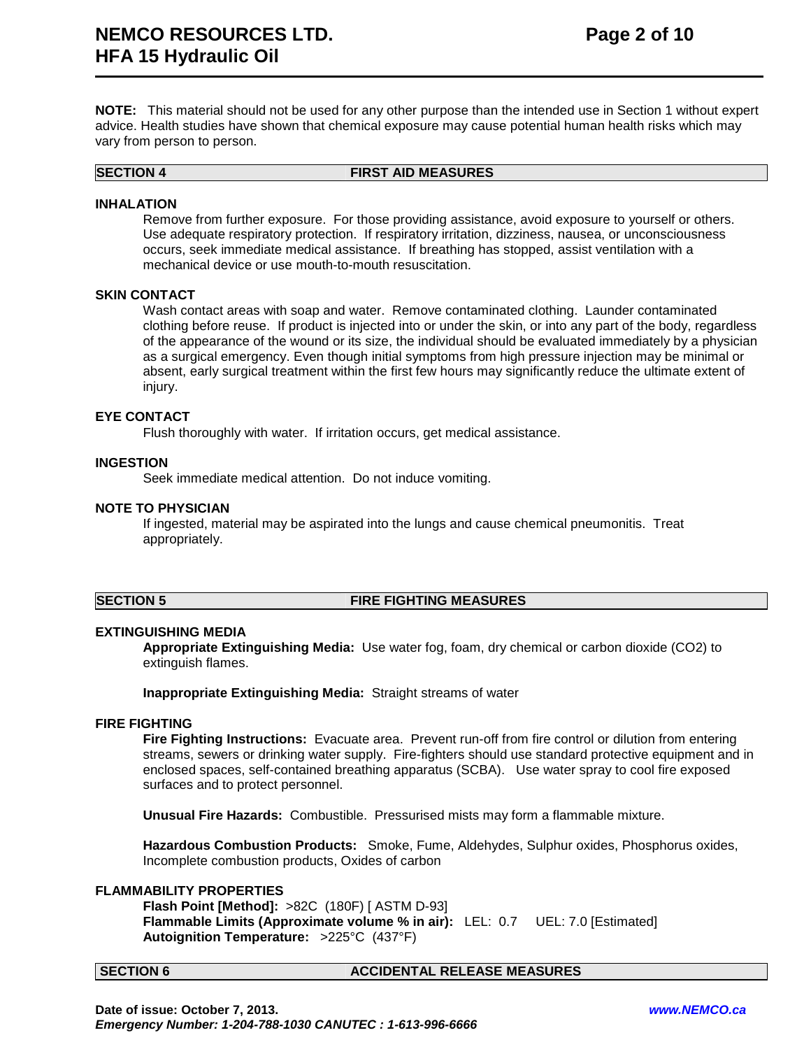**NOTE:** This material should not be used for any other purpose than the intended use in Section 1 without expert advice. Health studies have shown that chemical exposure may cause potential human health risks which may vary from person to person.

#### **SECTION 4 FIRST AID MEASURES**

#### **INHALATION**

Remove from further exposure. For those providing assistance, avoid exposure to yourself or others. Use adequate respiratory protection. If respiratory irritation, dizziness, nausea, or unconsciousness occurs, seek immediate medical assistance. If breathing has stopped, assist ventilation with a mechanical device or use mouth-to-mouth resuscitation.

#### **SKIN CONTACT**

Wash contact areas with soap and water. Remove contaminated clothing. Launder contaminated clothing before reuse. If product is injected into or under the skin, or into any part of the body, regardless of the appearance of the wound or its size, the individual should be evaluated immediately by a physician as a surgical emergency. Even though initial symptoms from high pressure injection may be minimal or absent, early surgical treatment within the first few hours may significantly reduce the ultimate extent of injury.

#### **EYE CONTACT**

Flush thoroughly with water. If irritation occurs, get medical assistance.

#### **INGESTION**

Seek immediate medical attention. Do not induce vomiting.

#### **NOTE TO PHYSICIAN**

If ingested, material may be aspirated into the lungs and cause chemical pneumonitis. Treat appropriately.

#### **SECTION 5 FIRE FIGHTING MEASURES**

#### **EXTINGUISHING MEDIA**

**Appropriate Extinguishing Media:** Use water fog, foam, dry chemical or carbon dioxide (CO2) to extinguish flames.

**Inappropriate Extinguishing Media:** Straight streams of water

#### **FIRE FIGHTING**

**Fire Fighting Instructions:** Evacuate area. Prevent run-off from fire control or dilution from entering streams, sewers or drinking water supply. Fire-fighters should use standard protective equipment and in enclosed spaces, self-contained breathing apparatus (SCBA). Use water spray to cool fire exposed surfaces and to protect personnel.

**Unusual Fire Hazards:** Combustible. Pressurised mists may form a flammable mixture.

**Hazardous Combustion Products:** Smoke, Fume, Aldehydes, Sulphur oxides, Phosphorus oxides, Incomplete combustion products, Oxides of carbon

#### **FLAMMABILITY PROPERTIES**

**Flash Point [Method]:** >82C (180F) [ ASTM D-93] **Flammable Limits (Approximate volume % in air):** LEL: 0.7 UEL: 7.0 [Estimated] **Autoignition Temperature:** >225°C (437°F)

#### **SECTION 6 ACCIDENTAL RELEASE MEASURES**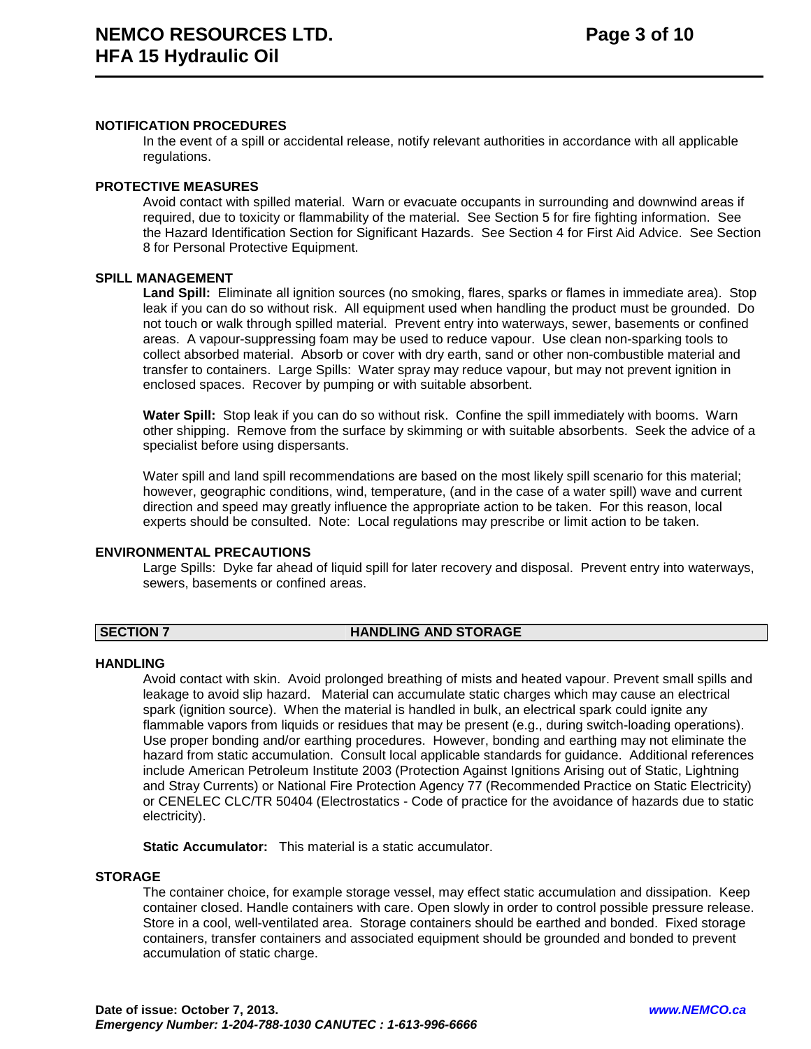#### **NOTIFICATION PROCEDURES**

In the event of a spill or accidental release, notify relevant authorities in accordance with all applicable regulations.

#### **PROTECTIVE MEASURES**

Avoid contact with spilled material. Warn or evacuate occupants in surrounding and downwind areas if required, due to toxicity or flammability of the material. See Section 5 for fire fighting information. See the Hazard Identification Section for Significant Hazards. See Section 4 for First Aid Advice. See Section 8 for Personal Protective Equipment.

#### **SPILL MANAGEMENT**

**Land Spill:** Eliminate all ignition sources (no smoking, flares, sparks or flames in immediate area). Stop leak if you can do so without risk. All equipment used when handling the product must be grounded. Do not touch or walk through spilled material. Prevent entry into waterways, sewer, basements or confined areas. A vapour-suppressing foam may be used to reduce vapour. Use clean non-sparking tools to collect absorbed material. Absorb or cover with dry earth, sand or other non-combustible material and transfer to containers. Large Spills: Water spray may reduce vapour, but may not prevent ignition in enclosed spaces. Recover by pumping or with suitable absorbent.

**Water Spill:** Stop leak if you can do so without risk. Confine the spill immediately with booms. Warn other shipping. Remove from the surface by skimming or with suitable absorbents. Seek the advice of a specialist before using dispersants.

Water spill and land spill recommendations are based on the most likely spill scenario for this material; however, geographic conditions, wind, temperature, (and in the case of a water spill) wave and current direction and speed may greatly influence the appropriate action to be taken. For this reason, local experts should be consulted. Note: Local regulations may prescribe or limit action to be taken.

#### **ENVIRONMENTAL PRECAUTIONS**

Large Spills: Dyke far ahead of liquid spill for later recovery and disposal. Prevent entry into waterways, sewers, basements or confined areas.

#### **SECTION 7 HANDLING AND STORAGE**

#### **HANDLING**

Avoid contact with skin. Avoid prolonged breathing of mists and heated vapour. Prevent small spills and leakage to avoid slip hazard. Material can accumulate static charges which may cause an electrical spark (ignition source). When the material is handled in bulk, an electrical spark could ignite any flammable vapors from liquids or residues that may be present (e.g., during switch-loading operations). Use proper bonding and/or earthing procedures. However, bonding and earthing may not eliminate the hazard from static accumulation. Consult local applicable standards for guidance. Additional references include American Petroleum Institute 2003 (Protection Against Ignitions Arising out of Static, Lightning and Stray Currents) or National Fire Protection Agency 77 (Recommended Practice on Static Electricity) or CENELEC CLC/TR 50404 (Electrostatics - Code of practice for the avoidance of hazards due to static electricity).

**Static Accumulator:** This material is a static accumulator.

#### **STORAGE**

The container choice, for example storage vessel, may effect static accumulation and dissipation. Keep container closed. Handle containers with care. Open slowly in order to control possible pressure release. Store in a cool, well-ventilated area. Storage containers should be earthed and bonded. Fixed storage containers, transfer containers and associated equipment should be grounded and bonded to prevent accumulation of static charge.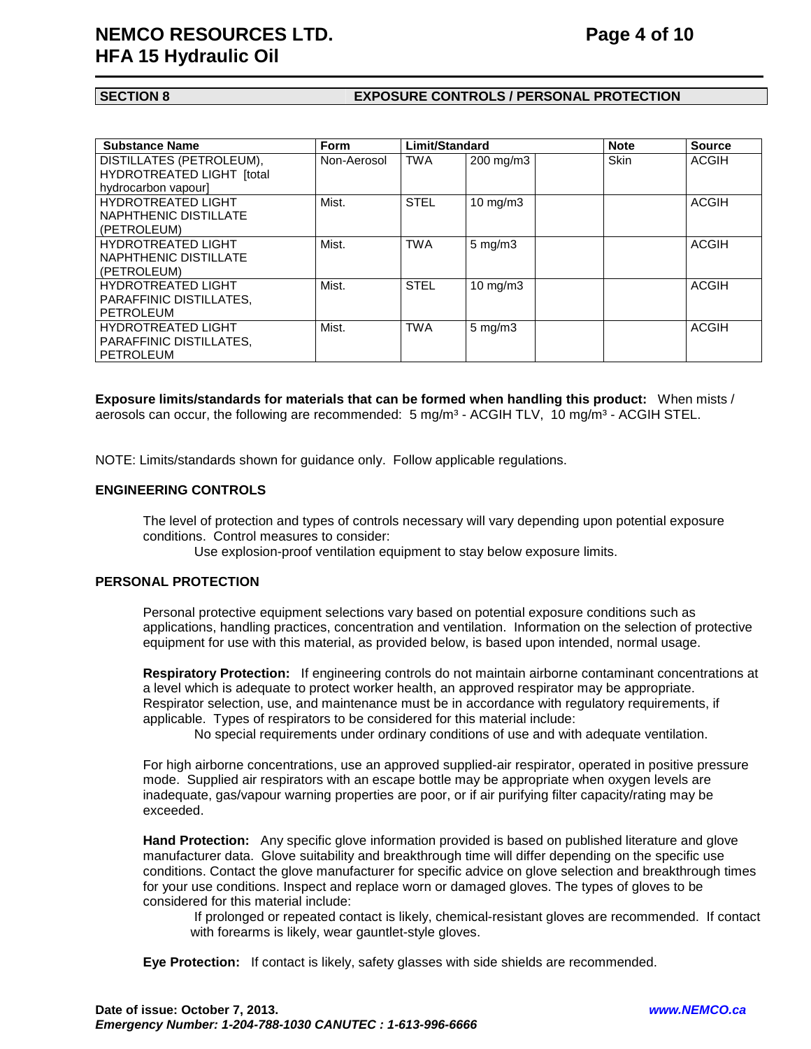## **NEMCO RESOURCES LTD.** Page 4 of 10 **HFA 15 Hydraulic Oil**

# 

#### **SECTION 8 EXPOSURE CONTROLS / PERSONAL PROTECTION**

| <b>Substance Name</b>          | <b>Form</b> | Limit/Standard |                    | <b>Note</b> | <b>Source</b> |
|--------------------------------|-------------|----------------|--------------------|-------------|---------------|
| DISTILLATES (PETROLEUM),       | Non-Aerosol | <b>TWA</b>     | 200 mg/m3          | Skin        | <b>ACGIH</b>  |
| HYDROTREATED LIGHT [total      |             |                |                    |             |               |
| hydrocarbon vapourl            |             |                |                    |             |               |
| <b>HYDROTREATED LIGHT</b>      | Mist.       | <b>STEL</b>    | 10 $mg/m3$         |             | <b>ACGIH</b>  |
| NAPHTHENIC DISTILLATE          |             |                |                    |             |               |
| (PETROLEUM)                    |             |                |                    |             |               |
| <b>HYDROTREATED LIGHT</b>      | Mist.       | <b>TWA</b>     | $5 \text{ mg/m}$   |             | <b>ACGIH</b>  |
| NAPHTHENIC DISTILLATE          |             |                |                    |             |               |
| (PETROLEUM)                    |             |                |                    |             |               |
| <b>HYDROTREATED LIGHT</b>      | Mist.       | <b>STEL</b>    | $10 \text{ mg/m}$  |             | <b>ACGIH</b>  |
| <b>PARAFFINIC DISTILLATES.</b> |             |                |                    |             |               |
| PETROLEUM                      |             |                |                    |             |               |
| <b>HYDROTREATED LIGHT</b>      | Mist.       | <b>TWA</b>     | $5 \text{ mg/m}$ 3 |             | <b>ACGIH</b>  |
| PARAFFINIC DISTILLATES.        |             |                |                    |             |               |
| <b>PETROLEUM</b>               |             |                |                    |             |               |

**Exposure limits/standards for materials that can be formed when handling this product:** When mists / aerosols can occur, the following are recommended:  $5 \text{ mg/m}^3$  - ACGIH TLV, 10 mg/m $^3$  - ACGIH STEL.

NOTE: Limits/standards shown for guidance only. Follow applicable regulations.

#### **ENGINEERING CONTROLS**

The level of protection and types of controls necessary will vary depending upon potential exposure conditions. Control measures to consider:

Use explosion-proof ventilation equipment to stay below exposure limits.

#### **PERSONAL PROTECTION**

Personal protective equipment selections vary based on potential exposure conditions such as applications, handling practices, concentration and ventilation. Information on the selection of protective equipment for use with this material, as provided below, is based upon intended, normal usage.

**Respiratory Protection:** If engineering controls do not maintain airborne contaminant concentrations at a level which is adequate to protect worker health, an approved respirator may be appropriate. Respirator selection, use, and maintenance must be in accordance with regulatory requirements, if applicable. Types of respirators to be considered for this material include:

No special requirements under ordinary conditions of use and with adequate ventilation.

For high airborne concentrations, use an approved supplied-air respirator, operated in positive pressure mode. Supplied air respirators with an escape bottle may be appropriate when oxygen levels are inadequate, gas/vapour warning properties are poor, or if air purifying filter capacity/rating may be exceeded.

**Hand Protection:** Any specific glove information provided is based on published literature and glove manufacturer data. Glove suitability and breakthrough time will differ depending on the specific use conditions. Contact the glove manufacturer for specific advice on glove selection and breakthrough times for your use conditions. Inspect and replace worn or damaged gloves. The types of gloves to be considered for this material include:

 If prolonged or repeated contact is likely, chemical-resistant gloves are recommended. If contact with forearms is likely, wear gauntlet-style gloves.

**Eye Protection:** If contact is likely, safety glasses with side shields are recommended.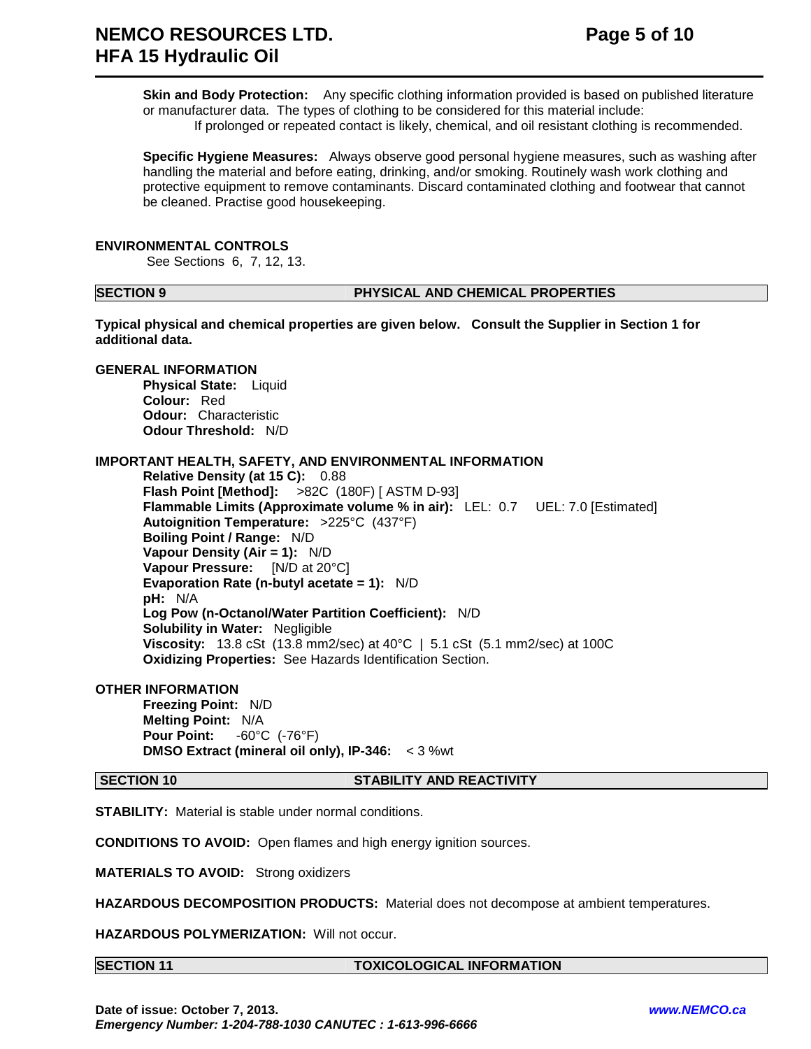**Skin and Body Protection:** Any specific clothing information provided is based on published literature or manufacturer data. The types of clothing to be considered for this material include: If prolonged or repeated contact is likely, chemical, and oil resistant clothing is recommended.

**Specific Hygiene Measures:** Always observe good personal hygiene measures, such as washing after handling the material and before eating, drinking, and/or smoking. Routinely wash work clothing and protective equipment to remove contaminants. Discard contaminated clothing and footwear that cannot be cleaned. Practise good housekeeping.

#### **ENVIRONMENTAL CONTROLS**

See Sections 6, 7, 12, 13.

#### **SECTION 9 PHYSICAL AND CHEMICAL PROPERTIES**

**Typical physical and chemical properties are given below. Consult the Supplier in Section 1 for additional data.**

**GENERAL INFORMATION Physical State:** Liquid **Colour:** Red **Odour:** Characteristic **Odour Threshold:** N/D

### **IMPORTANT HEALTH, SAFETY, AND ENVIRONMENTAL INFORMATION**

**Relative Density (at 15 C):** 0.88 **Flash Point [Method]:** >82C (180F) [ ASTM D-93] **Flammable Limits (Approximate volume % in air):** LEL: 0.7 UEL: 7.0 [Estimated] **Autoignition Temperature:** >225°C (437°F) **Boiling Point / Range:** N/D **Vapour Density (Air = 1):** N/D **Vapour Pressure:** [N/D at 20°C] **Evaporation Rate (n-butyl acetate = 1):** N/D **pH:** N/A **Log Pow (n-Octanol/Water Partition Coefficient):** N/D **Solubility in Water:** Negligible **Viscosity:** 13.8 cSt (13.8 mm2/sec) at 40°C | 5.1 cSt (5.1 mm2/sec) at 100C **Oxidizing Properties:** See Hazards Identification Section.

#### **OTHER INFORMATION**

**Freezing Point:** N/D **Melting Point:** N/A **Pour Point:** -60°C (-76°F) **DMSO Extract (mineral oil only), IP-346:** < 3 %wt

#### **SECTION 10 STABILITY AND REACTIVITY**

**STABILITY:** Material is stable under normal conditions.

**CONDITIONS TO AVOID:** Open flames and high energy ignition sources.

**MATERIALS TO AVOID:** Strong oxidizers

**HAZARDOUS DECOMPOSITION PRODUCTS:** Material does not decompose at ambient temperatures.

**HAZARDOUS POLYMERIZATION:** Will not occur.

### **SECTION 11 TOXICOLOGICAL INFORMATION**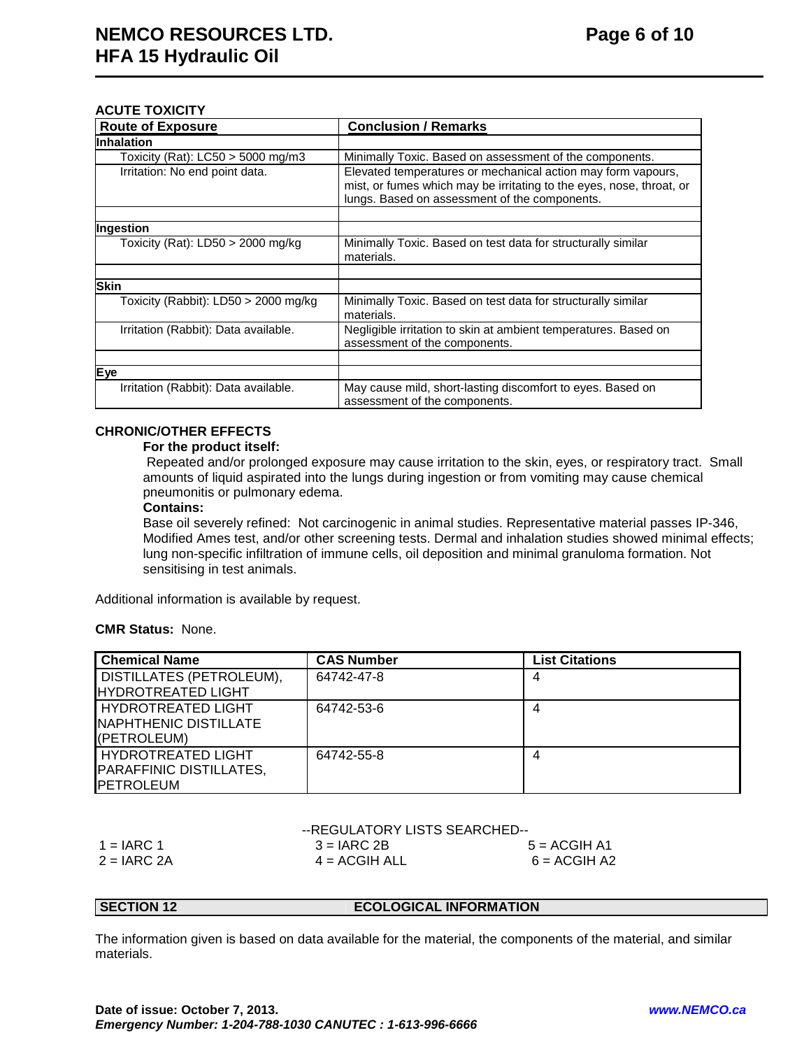### **ACUTE TOXICITY**

| <b>Route of Exposure</b>             | <b>Conclusion / Remarks</b>                                                                      |
|--------------------------------------|--------------------------------------------------------------------------------------------------|
| <b>Inhalation</b>                    |                                                                                                  |
| Toxicity (Rat): $LC50 > 5000$ mg/m3  | Minimally Toxic. Based on assessment of the components.                                          |
| Irritation: No end point data.       | Elevated temperatures or mechanical action may form vapours,                                     |
|                                      | mist, or fumes which may be irritating to the eyes, nose, throat, or                             |
|                                      | lungs. Based on assessment of the components.                                                    |
|                                      |                                                                                                  |
| Ingestion                            |                                                                                                  |
| Toxicity (Rat): LD50 > 2000 mg/kg    | Minimally Toxic. Based on test data for structurally similar<br>materials.                       |
|                                      |                                                                                                  |
| <b>Skin</b>                          |                                                                                                  |
| Toxicity (Rabbit): LD50 > 2000 mg/kg | Minimally Toxic. Based on test data for structurally similar<br>materials.                       |
| Irritation (Rabbit): Data available. | Negligible irritation to skin at ambient temperatures. Based on<br>assessment of the components. |
|                                      |                                                                                                  |
| Eye                                  |                                                                                                  |
| Irritation (Rabbit): Data available. | May cause mild, short-lasting discomfort to eyes. Based on<br>assessment of the components.      |

### **CHRONIC/OTHER EFFECTS**

#### **For the product itself:**

 Repeated and/or prolonged exposure may cause irritation to the skin, eyes, or respiratory tract. Small amounts of liquid aspirated into the lungs during ingestion or from vomiting may cause chemical pneumonitis or pulmonary edema.

#### **Contains:**

Base oil severely refined: Not carcinogenic in animal studies. Representative material passes IP-346, Modified Ames test, and/or other screening tests. Dermal and inhalation studies showed minimal effects; lung non-specific infiltration of immune cells, oil deposition and minimal granuloma formation. Not sensitising in test animals.

Additional information is available by request.

#### **CMR Status:** None.

| <b>Chemical Name</b>            | <b>CAS Number</b> | <b>List Citations</b> |
|---------------------------------|-------------------|-----------------------|
| <b>DISTILLATES (PETROLEUM),</b> | 64742-47-8        | 4                     |
| <b>HYDROTREATED LIGHT</b>       |                   |                       |
| HYDROTREATED LIGHT              | 64742-53-6        |                       |
| NAPHTHENIC DISTILLATE           |                   |                       |
| (PETROLEUM)                     |                   |                       |
| <b>HYDROTREATED LIGHT</b>       | 64742-55-8        |                       |
| <b>PARAFFINIC DISTILLATES,</b>  |                   |                       |
| <b>IPETROLEUM</b>               |                   |                       |

|               | --REGULATORY LISTS SEARCHED-- |                |  |  |
|---------------|-------------------------------|----------------|--|--|
| $1 = IARC 1$  | $3 = IARC 2B$                 | $5 = ACGIH A1$ |  |  |
| $2 = IARC 2A$ | $4 = ACGIH ALL$               | $6 = ACGIH A2$ |  |  |

#### **SECTION 12 ECOLOGICAL INFORMATION**

The information given is based on data available for the material, the components of the material, and similar materials.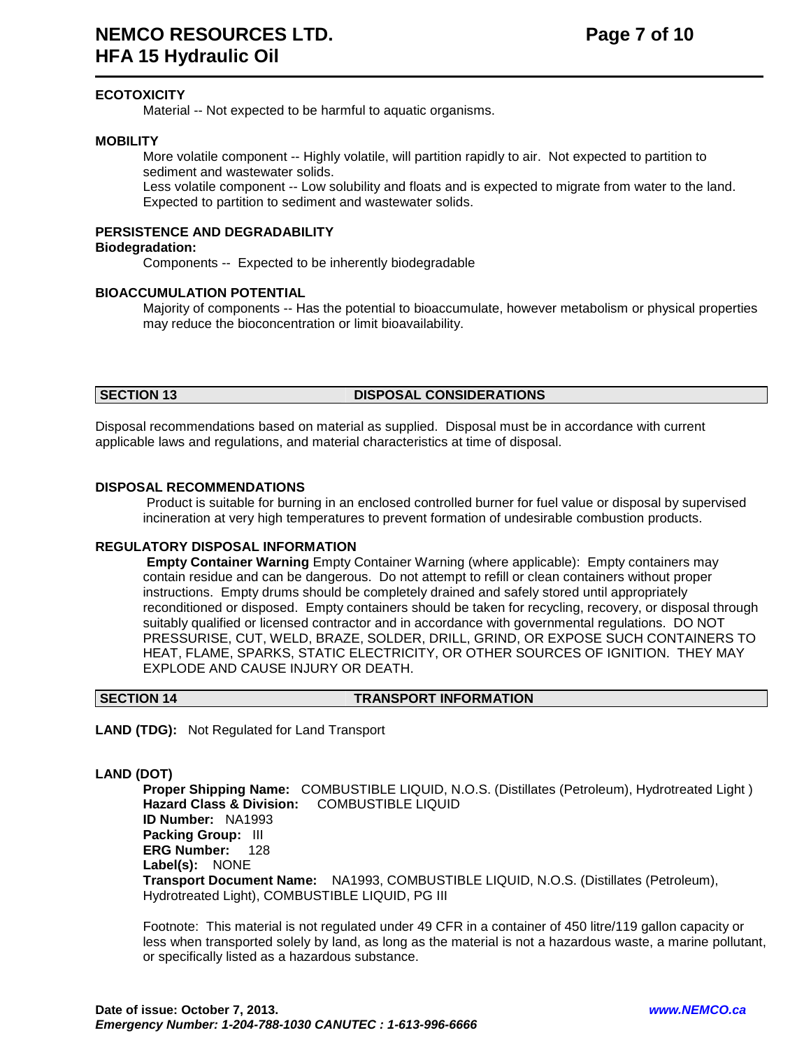### **ECOTOXICITY**

Material -- Not expected to be harmful to aquatic organisms.

#### **MOBILITY**

 More volatile component -- Highly volatile, will partition rapidly to air. Not expected to partition to sediment and wastewater solids.

 Less volatile component -- Low solubility and floats and is expected to migrate from water to the land. Expected to partition to sediment and wastewater solids.

### **PERSISTENCE AND DEGRADABILITY**

#### **Biodegradation:**

Components -- Expected to be inherently biodegradable

#### **BIOACCUMULATION POTENTIAL**

 Majority of components -- Has the potential to bioaccumulate, however metabolism or physical properties may reduce the bioconcentration or limit bioavailability.

#### **SECTION 13 DISPOSAL CONSIDERATIONS**

Disposal recommendations based on material as supplied. Disposal must be in accordance with current applicable laws and regulations, and material characteristics at time of disposal.

#### **DISPOSAL RECOMMENDATIONS**

 Product is suitable for burning in an enclosed controlled burner for fuel value or disposal by supervised incineration at very high temperatures to prevent formation of undesirable combustion products.

#### **REGULATORY DISPOSAL INFORMATION**

**Empty Container Warning** Empty Container Warning (where applicable): Empty containers may contain residue and can be dangerous. Do not attempt to refill or clean containers without proper instructions. Empty drums should be completely drained and safely stored until appropriately reconditioned or disposed. Empty containers should be taken for recycling, recovery, or disposal through suitably qualified or licensed contractor and in accordance with governmental regulations. DO NOT PRESSURISE, CUT, WELD, BRAZE, SOLDER, DRILL, GRIND, OR EXPOSE SUCH CONTAINERS TO HEAT, FLAME, SPARKS, STATIC ELECTRICITY, OR OTHER SOURCES OF IGNITION. THEY MAY EXPLODE AND CAUSE INJURY OR DEATH.

#### **SECTION 14 TRANSPORT INFORMATION**

**LAND (TDG):** Not Regulated for Land Transport

### **LAND (DOT)**

**Proper Shipping Name:** COMBUSTIBLE LIQUID, N.O.S. (Distillates (Petroleum), Hydrotreated Light ) **Hazard Class & Division:** COMBUSTIBLE LIQUID **ID Number:** NA1993 **Packing Group:** III **ERG Number:** 128 **Label(s):** NONE **Transport Document Name:** NA1993, COMBUSTIBLE LIQUID, N.O.S. (Distillates (Petroleum), Hydrotreated Light), COMBUSTIBLE LIQUID, PG III

Footnote: This material is not regulated under 49 CFR in a container of 450 litre/119 gallon capacity or less when transported solely by land, as long as the material is not a hazardous waste, a marine pollutant, or specifically listed as a hazardous substance.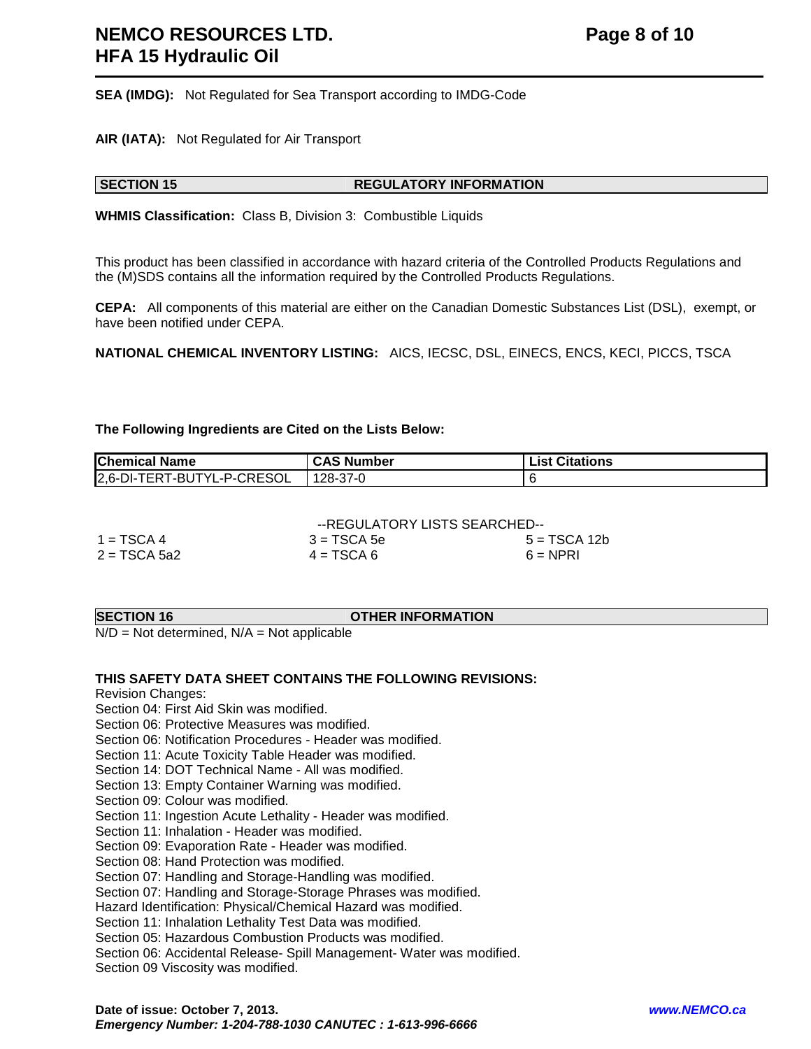**SEA (IMDG):** Not Regulated for Sea Transport according to IMDG-Code

**AIR (IATA):** Not Regulated for Air Transport

#### **SECTION 15 REGULATORY INFORMATION**

**WHMIS Classification:** Class B, Division 3: Combustible Liquids

This product has been classified in accordance with hazard criteria of the Controlled Products Regulations and the (M)SDS contains all the information required by the Controlled Products Regulations.

**CEPA:** All components of this material are either on the Canadian Domestic Substances List (DSL), exempt, or have been notified under CEPA.

**NATIONAL CHEMICAL INVENTORY LISTING:** AICS, IECSC, DSL, EINECS, ENCS, KECI, PICCS, TSCA

**The Following Ingredients are Cited on the Lists Below:**

| <b>Chemical Name</b>       | <b>CAS Number</b> | <b>List Citations</b> |
|----------------------------|-------------------|-----------------------|
| 2,6-DI-TERT-BUTYL-P-CRESOL | 128-37-0          |                       |

|                | --REGULATORY LISTS SEARCHED-- |              |  |
|----------------|-------------------------------|--------------|--|
| $1 = TSCA 4$   | $3 = TSCA5e$                  | 5 = TSCA 12b |  |
| $2 = TSCA 5a2$ | $4 = TSCA6$                   | $6 = NPRI$   |  |

#### **SECTION 16 OTHER INFORMATION**

 $N/D = Not determined$ ,  $N/A = Not$  applicable

#### **THIS SAFETY DATA SHEET CONTAINS THE FOLLOWING REVISIONS:**

Revision Changes:

Section 04: First Aid Skin was modified.

Section 06: Protective Measures was modified.

Section 06: Notification Procedures - Header was modified.

Section 11: Acute Toxicity Table Header was modified.

Section 14: DOT Technical Name - All was modified.

Section 13: Empty Container Warning was modified.

Section 09: Colour was modified.

Section 11: Ingestion Acute Lethality - Header was modified.

Section 11: Inhalation - Header was modified.

Section 09: Evaporation Rate - Header was modified.

Section 08: Hand Protection was modified.

Section 07: Handling and Storage-Handling was modified.

Section 07: Handling and Storage-Storage Phrases was modified.

Hazard Identification: Physical/Chemical Hazard was modified.

Section 11: Inhalation Lethality Test Data was modified.

Section 05: Hazardous Combustion Products was modified.

Section 06: Accidental Release- Spill Management- Water was modified.

Section 09 Viscosity was modified.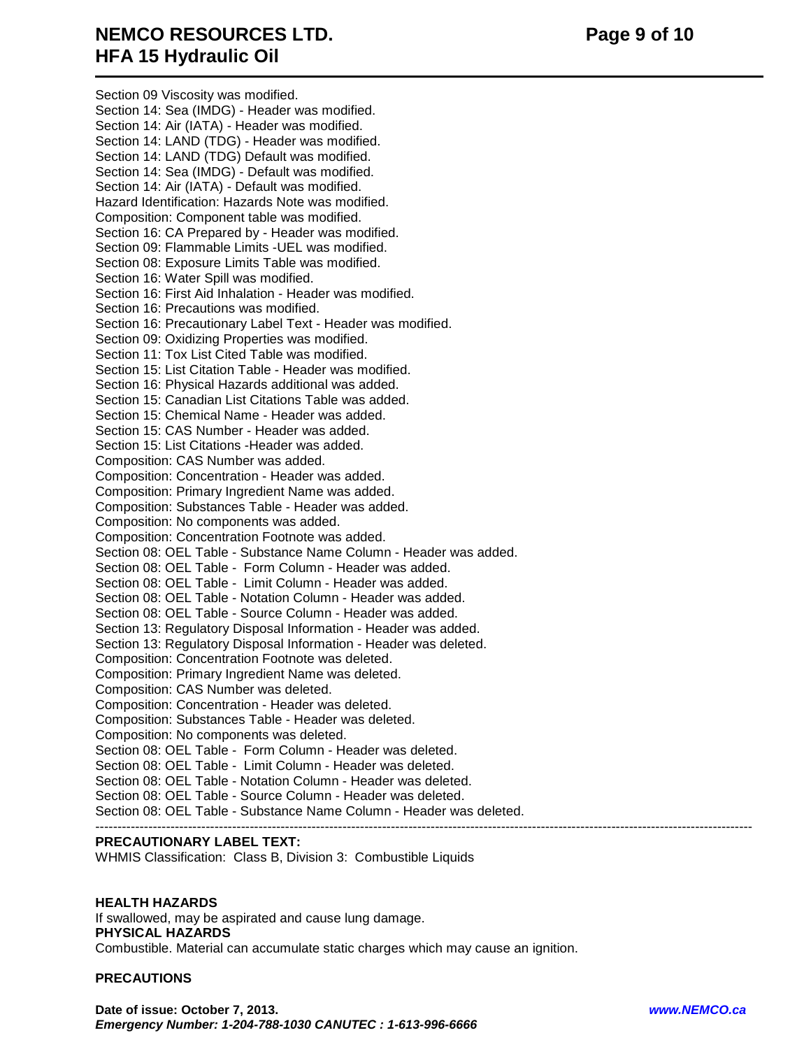## **NEMCO RESOURCES LTD.** Page 9 of 10 **HFA 15 Hydraulic Oil**

 Section 09 Viscosity was modified. Section 14: Sea (IMDG) - Header was modified. Section 14: Air (IATA) - Header was modified. Section 14: LAND (TDG) - Header was modified. Section 14: LAND (TDG) Default was modified. Section 14: Sea (IMDG) - Default was modified. Section 14: Air (IATA) - Default was modified. Hazard Identification: Hazards Note was modified. Composition: Component table was modified. Section 16: CA Prepared by - Header was modified. Section 09: Flammable Limits -UEL was modified. Section 08: Exposure Limits Table was modified. Section 16: Water Spill was modified. Section 16: First Aid Inhalation - Header was modified. Section 16: Precautions was modified. Section 16: Precautionary Label Text - Header was modified. Section 09: Oxidizing Properties was modified. Section 11: Tox List Cited Table was modified. Section 15: List Citation Table - Header was modified. Section 16: Physical Hazards additional was added. Section 15: Canadian List Citations Table was added. Section 15: Chemical Name - Header was added. Section 15: CAS Number - Header was added. Section 15: List Citations -Header was added. Composition: CAS Number was added. Composition: Concentration - Header was added. Composition: Primary Ingredient Name was added. Composition: Substances Table - Header was added. Composition: No components was added. Composition: Concentration Footnote was added. Section 08: OEL Table - Substance Name Column - Header was added. Section 08: OEL Table - Form Column - Header was added. Section 08: OEL Table - Limit Column - Header was added. Section 08: OEL Table - Notation Column - Header was added. Section 08: OEL Table - Source Column - Header was added. Section 13: Regulatory Disposal Information - Header was added. Section 13: Regulatory Disposal Information - Header was deleted. Composition: Concentration Footnote was deleted. Composition: Primary Ingredient Name was deleted. Composition: CAS Number was deleted. Composition: Concentration - Header was deleted. Composition: Substances Table - Header was deleted. Composition: No components was deleted. Section 08: OEL Table - Form Column - Header was deleted. Section 08: OEL Table - Limit Column - Header was deleted. Section 08: OEL Table - Notation Column - Header was deleted. Section 08: OEL Table - Source Column - Header was deleted. Section 08: OEL Table - Substance Name Column - Header was deleted. -----------------------------------------------------------------------------------------------------------------------------------------------------

#### **PRECAUTIONARY LABEL TEXT:**

WHMIS Classification: Class B, Division 3: Combustible Liquids

#### **HEALTH HAZARDS**

If swallowed, may be aspirated and cause lung damage. **PHYSICAL HAZARDS** Combustible. Material can accumulate static charges which may cause an ignition.

#### **PRECAUTIONS**